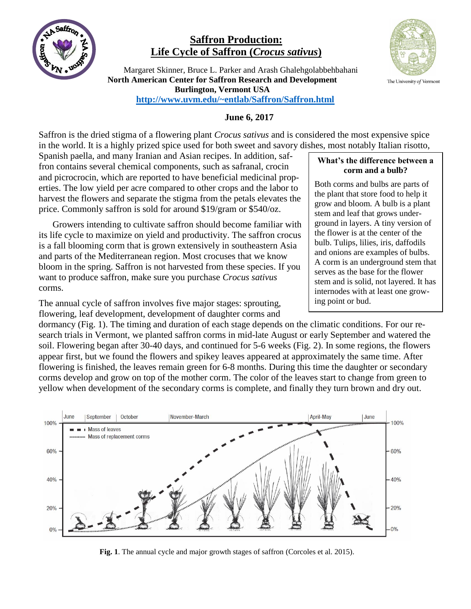

## **Saffron Production: Life Cycle of Saffron (***Crocus sativus***)**

 Margaret Skinner, Bruce L. Parker and Arash Ghalehgolabbehbahani **North American Center for Saffron Research and Development Burlington, Vermont USA <http://www.uvm.edu/~entlab/Saffron/Saffron.html>**



## **June 6, 2017**

Saffron is the dried stigma of a flowering plant *Crocus sativus* and is considered the most expensive spice in the world. It is a highly prized spice used for both sweet and savory dishes, most notably Italian risotto,

Spanish paella, and many Iranian and Asian recipes. In addition, saffron contains several chemical components, such as safranal, crocin and picrocrocin, which are reported to have beneficial medicinal properties. The low yield per acre compared to other crops and the labor to harvest the flowers and separate the stigma from the petals elevates the price. Commonly saffron is sold for around \$19/gram or \$540/oz.

Growers intending to cultivate saffron should become familiar with its life cycle to maximize on yield and productivity. The saffron crocus is a fall blooming corm that is grown extensively in southeastern Asia and parts of the Mediterranean region. Most crocuses that we know bloom in the spring. Saffron is not harvested from these species. If you want to produce saffron, make sure you purchase *Crocus sativus* corms.

The annual cycle of saffron involves five major stages: sprouting, flowering, leaf development, development of daughter corms and

dormancy (Fig. 1). The timing and duration of each stage depends on the climatic conditions. For our research trials in Vermont, we planted saffron corms in mid-late August or early September and watered the soil. Flowering began after 30-40 days, and continued for 5-6 weeks (Fig. 2). In some regions, the flowers appear first, but we found the flowers and spikey leaves appeared at approximately the same time. After flowering is finished, the leaves remain green for 6-8 months. During this time the daughter or secondary corms develop and grow on top of the mother corm. The color of the leaves start to change from green to yellow when development of the secondary corms is complete, and finally they turn brown and dry out.



**Fig. 1**. The annual cycle and major growth stages of saffron (Corcoles et al. 2015).

## **What's the difference between a corm and a bulb?**

Both corms and bulbs are parts of the plant that store food to help it grow and bloom. A bulb is a plant stem and leaf that grows underground in layers. A tiny version of the flower is at the center of the bulb. Tulips, lilies, iris, daffodils and onions are examples of bulbs. A corm is an underground stem that serves as the base for the flower stem and is solid, not layered. It has internodes with at least one growing point or bud.